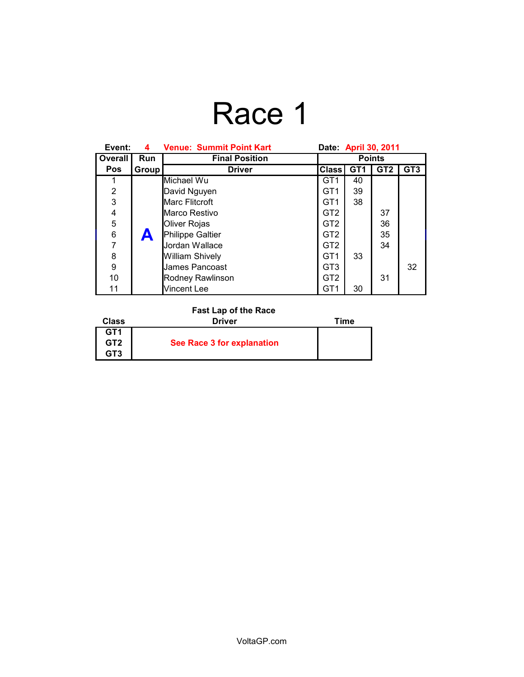# Race 1

| Event:         | 4     | <b>Venue: Summit Point Kart</b> | Date: April 30, 2011 |                 |                 |                 |
|----------------|-------|---------------------------------|----------------------|-----------------|-----------------|-----------------|
| Overall        | Run   | <b>Final Position</b>           | <b>Points</b>        |                 |                 |                 |
| <b>Pos</b>     | Group | <b>Driver</b>                   | <b>Class</b>         | GT <sub>1</sub> | GT <sub>2</sub> | GT <sub>3</sub> |
|                |       | Michael Wu                      | GT1                  | 40              |                 |                 |
| $\overline{2}$ |       | David Nguyen                    | GT <sub>1</sub>      | 39              |                 |                 |
| 3              |       | Marc Flitcroft                  | GT <sub>1</sub>      | 38              |                 |                 |
| 4              |       | Marco Restivo                   | GT <sub>2</sub>      |                 | 37              |                 |
| 5              |       | Oliver Rojas                    | GT <sub>2</sub>      |                 | 36              |                 |
| 6              | Ä     | Philippe Galtier                | GT <sub>2</sub>      |                 | 35              |                 |
| $\overline{7}$ |       | Jordan Wallace                  | GT <sub>2</sub>      |                 | 34              |                 |
| 8              |       | <b>William Shively</b>          | GT <sub>1</sub>      | 33              |                 |                 |
| 9              |       | James Pancoast                  | GT <sub>3</sub>      |                 |                 | 32              |
| 10             |       | Rodney Rawlinson                | GT <sub>2</sub>      |                 | 31              |                 |
| 11             |       | <b>Vincent Lee</b>              | GT1                  | 30              |                 |                 |

#### **Fast Lap of the Race**

| Class           | <b>Driver</b>              | Time |
|-----------------|----------------------------|------|
| GT <sub>1</sub> |                            |      |
| GT <sub>2</sub> | See Race 3 for explanation |      |
| GT3             |                            |      |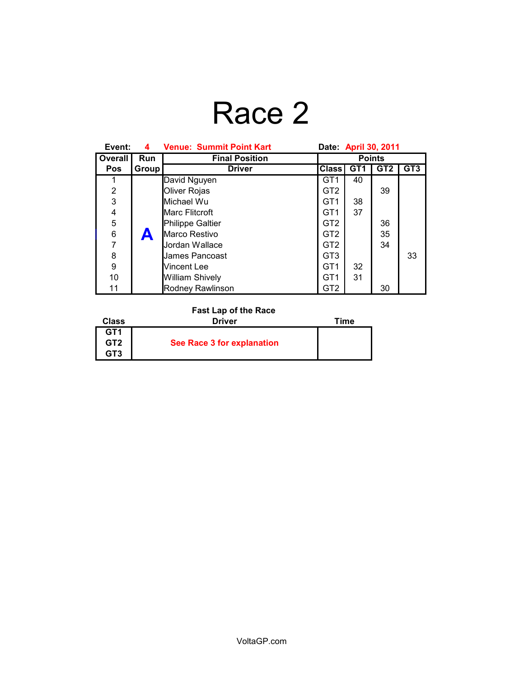# Race 2

| Event:         | 4                | <b>Venue: Summit Point Kart</b> | Date: April 30, 2011 |                 |                 |                 |
|----------------|------------------|---------------------------------|----------------------|-----------------|-----------------|-----------------|
| Overall        | Run              | <b>Final Position</b>           | <b>Points</b>        |                 |                 |                 |
| <b>Pos</b>     | Group            | <b>Driver</b>                   | <b>Class</b>         | GT <sub>1</sub> | GT <sub>2</sub> | GT <sub>3</sub> |
| 1              |                  | David Nguyen                    | GT <sub>1</sub>      | 40              |                 |                 |
| $\overline{2}$ |                  | Oliver Rojas                    | GT <sub>2</sub>      |                 | 39              |                 |
| 3              |                  | Michael Wu                      | GT1                  | 38              |                 |                 |
| 4              |                  | Marc Flitcroft                  | GT1                  | 37              |                 |                 |
| 5              |                  | Philippe Galtier                | GT <sub>2</sub>      |                 | 36              |                 |
| 6              | $\blacktriangle$ | Marco Restivo                   | GT <sub>2</sub>      |                 | 35              |                 |
| $\overline{7}$ |                  | Jordan Wallace                  | GT <sub>2</sub>      |                 | 34              |                 |
| 8              |                  | James Pancoast                  | GT <sub>3</sub>      |                 |                 | 33              |
| 9              |                  | Vincent Lee                     | GT1                  | 32              |                 |                 |
| 10             |                  | William Shively                 | GT1                  | 31              |                 |                 |
| 11             |                  | Rodney Rawlinson                | GT <sub>2</sub>      |                 | 30              |                 |

#### **Fast Lap of the Race**

| Class           | <b>Driver</b>              | Time |
|-----------------|----------------------------|------|
| GT1             |                            |      |
| GT <sub>2</sub> | See Race 3 for explanation |      |
| GT3             |                            |      |